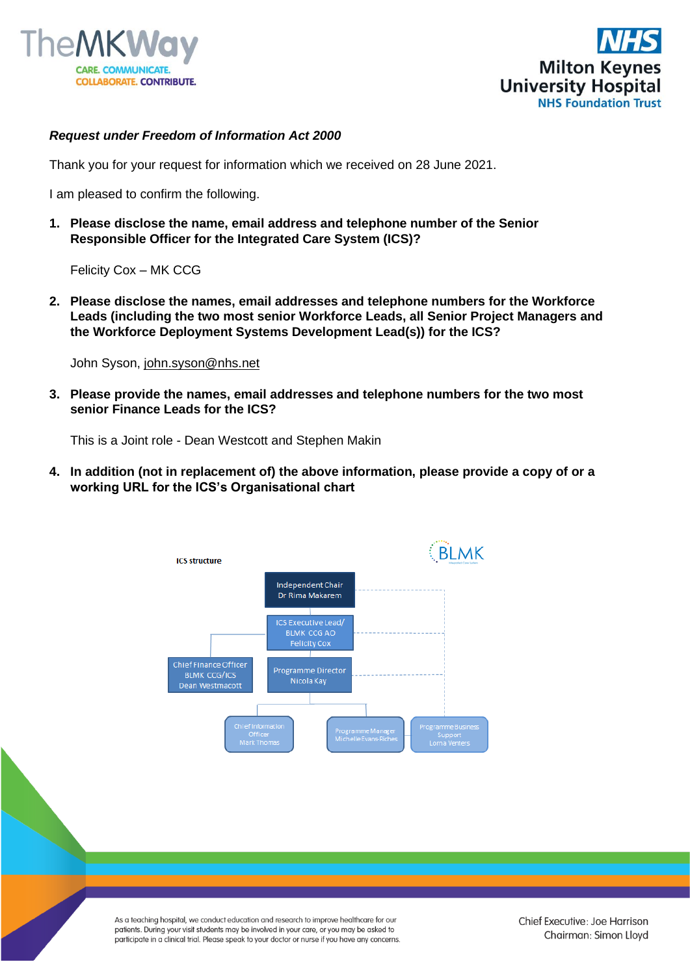



## *Request under Freedom of Information Act 2000*

Thank you for your request for information which we received on 28 June 2021.

I am pleased to confirm the following.

**1. Please disclose the name, email address and telephone number of the Senior Responsible Officer for the Integrated Care System (ICS)?**

Felicity Cox – MK CCG

**2. Please disclose the names, email addresses and telephone numbers for the Workforce Leads (including the two most senior Workforce Leads, all Senior Project Managers and the Workforce Deployment Systems Development Lead(s)) for the ICS?**

John Syson, [john.syson@nhs.net](mailto:john.syson@nhs.net)

**3. Please provide the names, email addresses and telephone numbers for the two most senior Finance Leads for the ICS?**

This is a Joint role - Dean Westcott and Stephen Makin

**4. In addition (not in replacement of) the above information, please provide a copy of or a working URL for the ICS's Organisational chart** 



As a teaching hospital, we conduct education and research to improve healthcare for our patients. During your visit students may be involved in your care, or you may be asked to participate in a clinical trial. Please speak to your doctor or nurse if you have any concerns. Chief Executive: Joe Harrison Chairman: Simon Lloyd